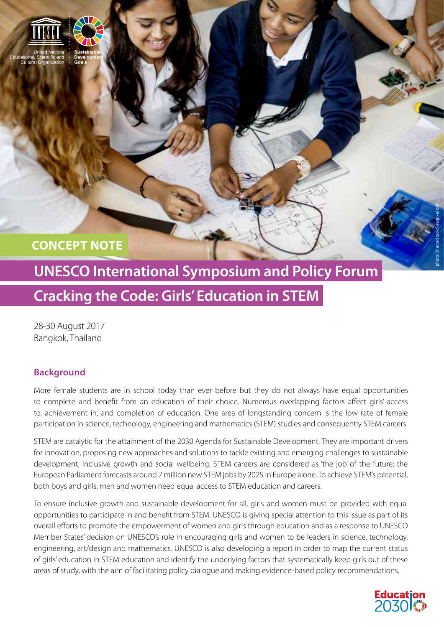

**CONCEPT NOTE**

# **UNESCO International Symposium and Policy Forum Cracking the Code: Girls' Education in STEM**

28-30 August 2017 Bangkok, Thailand

## **Background**

More female students are in school today than ever before but they do not always have equal opportunities to complete and benefit from an education of their choice. Numerous overlapping factors affect girls' access to, achievement in, and completion of education. One area of longstanding concern is the low rate of female participation in science, technology, engineering and mathematics (STEM) studies and consequently STEM careers.

STEM are catalytic for the attainment of the 2030 Agenda for Sustainable Development. They are important drivers for innovation, proposing new approaches and solutions to tackle existing and emerging challenges to sustainable development, inclusive growth and social wellbeing. STEM careers are considered as 'the job' of the future; the European Parliament forecasts around 7 million new STEM jobs by 2025 in Europe alone. To achieve STEM's potential, both boys and girls, men and women need equal access to STEM education and careers.

To ensure inclusive growth and sustainable development for all, girls and women must be provided with equal opportunities to participate in and benefit from STEM. UNESCO is giving special attention to this issue as part of its overall efforts to promote the empowerment of women and girls through education and as a response to UNESCO Member States' decision on UNESCO's role in encouraging girls and women to be leaders in science, technology, engineering, art/design and mathematics. UNESCO is also developing a report in order to map the current status of girls' education in STEM education and identify the underlying factors that systematically keep girls out of these areas of study, with the aim of facilitating policy dialogue and making evidence-based policy recommendations.



photo: Shutterstock/Rawpixel.com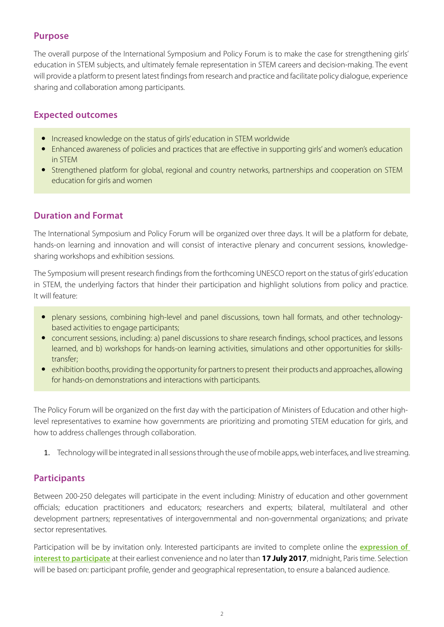#### **Purpose**

The overall purpose of the International Symposium and Policy Forum is to make the case for strengthening girls' education in STEM subjects, and ultimately female representation in STEM careers and decision-making. The event will provide a platform to present latest findings from research and practice and facilitate policy dialogue, experience sharing and collaboration among participants.

#### **Expected outcomes**

- Increased knowledge on the status of girls' education in STEM worldwide
- Enhanced awareness of policies and practices that are effective in supporting girls' and women's education in STEM
- Strengthened platform for global, regional and country networks, partnerships and cooperation on STEM education for girls and women

#### **Duration and Format**

The International Symposium and Policy Forum will be organized over three days. It will be a platform for debate, hands-on learning and innovation and will consist of interactive plenary and concurrent sessions, knowledgesharing workshops and exhibition sessions.

The Symposium will present research findings from the forthcoming UNESCO report on the status of girls' education in STEM, the underlying factors that hinder their participation and highlight solutions from policy and practice. It will feature:

- plenary sessions, combining high-level and panel discussions, town hall formats, and other technologybased activities to engage participants;
- concurrent sessions, including: a) panel discussions to share research findings, school practices, and lessons learned, and b) workshops for hands-on learning activities, simulations and other opportunities for skillstransfer;
- exhibition booths, providing the opportunity for partners to present their products and approaches, allowing for hands-on demonstrations and interactions with participants.

The Policy Forum will be organized on the first day with the participation of Ministers of Education and other highlevel representatives to examine how governments are prioritizing and promoting STEM education for girls, and how to address challenges through collaboration.

1. Technology will be integrated in all sessions through the use of mobile apps, web interfaces, and live streaming.

#### **Participants**

Between 200-250 delegates will participate in the event including: Ministry of education and other government officials; education practitioners and educators; researchers and experts; bilateral, multilateral and other development partners; representatives of intergovernmental and non-governmental organizations; and private sector representatives.

Participation will be by invitation only. Interested participants are invited to complete online the **[expression of](http://www.surveygizmo.com/s3/3537399/Cracking-The-Code-Registration-Form)  [interest to participate](http://www.surveygizmo.com/s3/3537399/Cracking-The-Code-Registration-Form)** at their earliest convenience and no later than **17 July 2017**, midnight, Paris time. Selection will be based on: participant profile, gender and geographical representation, to ensure a balanced audience.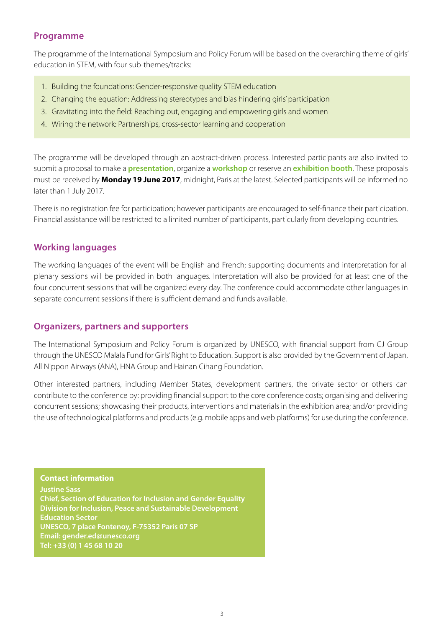### **Programme**

The programme of the International Symposium and Policy Forum will be based on the overarching theme of girls' education in STEM, with four sub-themes/tracks:

- 1. Building the foundations: Gender-responsive quality STEM education
- 2. Changing the equation: Addressing stereotypes and bias hindering girls' participation
- 3. Gravitating into the field: Reaching out, engaging and empowering girls and women
- 4. Wiring the network: Partnerships, cross-sector learning and cooperation

The programme will be developed through an abstract-driven process. Interested participants are also invited to submit a proposal to make a **[presentation](http://www.surveygizmo.com/s3/3540409/Cracking-The-Code-Presentation-Form)**, organize a **[workshop](http://www.surveygizmo.com/s3/3542924/Cracking-The-Code-Workshop-Form)** or reserve an **[exhibition booth](http://www.surveygizmo.com/s3/3557888/Cracking-The-Code-Exhibition-Form)**. These proposals must be received by **Monday 19 June 2017**, midnight, Paris at the latest. Selected participants will be informed no later than 1 July 2017.

There is no registration fee for participation; however participants are encouraged to self-finance their participation. Financial assistance will be restricted to a limited number of participants, particularly from developing countries.

#### **Working languages**

The working languages of the event will be English and French; supporting documents and interpretation for all plenary sessions will be provided in both languages. Interpretation will also be provided for at least one of the four concurrent sessions that will be organized every day. The conference could accommodate other languages in separate concurrent sessions if there is sufficient demand and funds available.

#### **Organizers, partners and supporters**

The International Symposium and Policy Forum is organized by UNESCO, with financial support from CJ Group through the UNESCO Malala Fund for Girls' Right to Education. Support is also provided by the Government of Japan, All Nippon Airways (ANA), HNA Group and Hainan Cihang Foundation.

Other interested partners, including Member States, development partners, the private sector or others can contribute to the conference by: providing financial support to the core conference costs; organising and delivering concurrent sessions; showcasing their products, interventions and materials in the exhibition area; and/or providing the use of technological platforms and products (e.g. mobile apps and web platforms) for use during the conference.

**Contact information**

**Justine Sass Chief, Section of Education for Inclusion and Gender Equality Division for Inclusion, Peace and Sustainable Development Education Sector UNESCO, 7 place Fontenoy, F-75352 Paris 07 SP Email: gender.ed@unesco.org Tel: +33 (0) 1 45 68 10 20**